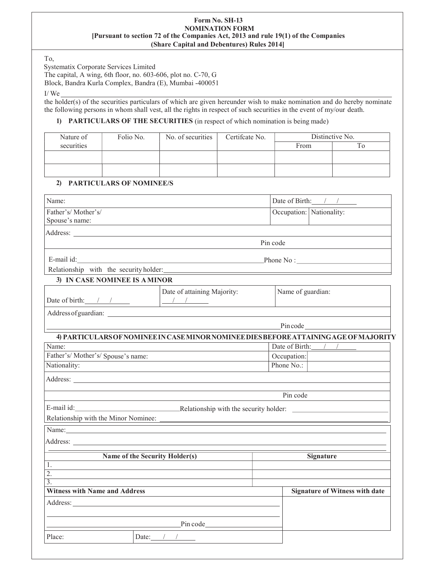#### Form No. SH-13 NOMINATION FORM [Pursuant to section 72 of the Companies Act, 2013 and rule 19(1) of the Companies (Share Capital and Debentures) Rules 2014]

To,

Systematix Corporate Services Limited

The capital, A wing, 6th floor, no. 603-606, plot no. C-70, G

Block, Bandra Kurla Complex, Bandra (E), Mumbai -400051

I/ We

the holder(s) of the securities particulars of which are given hereunder wish to make nomination and do hereby nominate the following persons in whom shall vest, all the rights in respect of such securities in the event of my/our death.

## 1) PARTICULARS OF THE SECURITIES (in respect of which nomination is being made)

| Nature of  | Folio No. | No. of securities | Certificate No. | Distinctive No. |  |
|------------|-----------|-------------------|-----------------|-----------------|--|
| securities |           |                   |                 | From            |  |
|            |           |                   |                 |                 |  |
|            |           |                   |                 |                 |  |
|            |           |                   |                 |                 |  |

### 2) PARTICULARS OF NOMINEE/S

| Name:                                                                                                                                                                                                                          |                                                                                                                                                                                                                                                                                                                                                   |          |                   | Date of Birth: $/$ /                                                                                                  |
|--------------------------------------------------------------------------------------------------------------------------------------------------------------------------------------------------------------------------------|---------------------------------------------------------------------------------------------------------------------------------------------------------------------------------------------------------------------------------------------------------------------------------------------------------------------------------------------------|----------|-------------------|-----------------------------------------------------------------------------------------------------------------------|
| Father's/Mother's/                                                                                                                                                                                                             |                                                                                                                                                                                                                                                                                                                                                   |          |                   | Occupation: Nationality:                                                                                              |
| Spouse's name:                                                                                                                                                                                                                 |                                                                                                                                                                                                                                                                                                                                                   |          |                   |                                                                                                                       |
|                                                                                                                                                                                                                                |                                                                                                                                                                                                                                                                                                                                                   |          |                   |                                                                                                                       |
|                                                                                                                                                                                                                                |                                                                                                                                                                                                                                                                                                                                                   | Pin code |                   |                                                                                                                       |
| E-mail id:                                                                                                                                                                                                                     | $\blacksquare$ Phone No :                                                                                                                                                                                                                                                                                                                         |          |                   |                                                                                                                       |
|                                                                                                                                                                                                                                | Relationship with the security holder: Manual Allen and Allen and Allen and Allen and Allen and Allen and Allen                                                                                                                                                                                                                                   |          |                   |                                                                                                                       |
| 3) IN CASE NOMINEE IS A MINOR                                                                                                                                                                                                  |                                                                                                                                                                                                                                                                                                                                                   |          |                   |                                                                                                                       |
|                                                                                                                                                                                                                                | Date of attaining Majority:<br>Date of birth: $\frac{1}{2}$ $\frac{1}{2}$ $\frac{1}{2}$ $\frac{1}{2}$ $\frac{1}{2}$ $\frac{1}{2}$ $\frac{1}{2}$ $\frac{1}{2}$ $\frac{1}{2}$ $\frac{1}{2}$ $\frac{1}{2}$ $\frac{1}{2}$ $\frac{1}{2}$ $\frac{1}{2}$ $\frac{1}{2}$ $\frac{1}{2}$ $\frac{1}{2}$ $\frac{1}{2}$ $\frac{1}{2}$ $\frac{1}{2}$ $\frac{1}{$ |          | Name of guardian: |                                                                                                                       |
|                                                                                                                                                                                                                                |                                                                                                                                                                                                                                                                                                                                                   |          |                   |                                                                                                                       |
|                                                                                                                                                                                                                                |                                                                                                                                                                                                                                                                                                                                                   |          | Pincode           | <u> 1999 - Jan Barbara Barat, prima populație de la proprietat de la proprietat de la proprietat de la proprietat</u> |
|                                                                                                                                                                                                                                | 4) PARTICULARS OF NOMINEE IN CASE MINOR NOMINEE DIES BEFORE ATTAINING AGE OF MAJORITY                                                                                                                                                                                                                                                             |          |                   |                                                                                                                       |
| Name:                                                                                                                                                                                                                          |                                                                                                                                                                                                                                                                                                                                                   |          | Date of Birth:    |                                                                                                                       |
| Father's/Mother's/Spouse's name:                                                                                                                                                                                               |                                                                                                                                                                                                                                                                                                                                                   |          | Occupation:       |                                                                                                                       |
| Nationality:                                                                                                                                                                                                                   |                                                                                                                                                                                                                                                                                                                                                   |          | Phone No.:        |                                                                                                                       |
|                                                                                                                                                                                                                                | Address: No. 1996. The Commission of the Commission of the Commission of the Commission of the Commission of the Commission of the Commission of the Commission of the Commission of the Commission of the Commission of the C                                                                                                                    |          |                   |                                                                                                                       |
|                                                                                                                                                                                                                                |                                                                                                                                                                                                                                                                                                                                                   |          | Pin code          |                                                                                                                       |
| E-mail id:                                                                                                                                                                                                                     | Relationship with the security holder:                                                                                                                                                                                                                                                                                                            |          |                   |                                                                                                                       |
| Relationship with the Minor Nominee:                                                                                                                                                                                           |                                                                                                                                                                                                                                                                                                                                                   |          |                   |                                                                                                                       |
| Name: Name and the second contract of the second contract of the second contract of the second contract of the second contract of the second contract of the second contract of the second contract of the second contract of  |                                                                                                                                                                                                                                                                                                                                                   |          |                   |                                                                                                                       |
|                                                                                                                                                                                                                                |                                                                                                                                                                                                                                                                                                                                                   |          |                   |                                                                                                                       |
|                                                                                                                                                                                                                                | Name of the Security Holder(s)                                                                                                                                                                                                                                                                                                                    |          |                   | <b>Signature</b>                                                                                                      |
| 1.                                                                                                                                                                                                                             |                                                                                                                                                                                                                                                                                                                                                   |          |                   |                                                                                                                       |
| $\overline{2}$ .                                                                                                                                                                                                               |                                                                                                                                                                                                                                                                                                                                                   |          |                   |                                                                                                                       |
| 3.                                                                                                                                                                                                                             |                                                                                                                                                                                                                                                                                                                                                   |          |                   |                                                                                                                       |
| <b>Witness with Name and Address</b>                                                                                                                                                                                           |                                                                                                                                                                                                                                                                                                                                                   |          |                   | <b>Signature of Witness with date</b>                                                                                 |
| Address: No. 1996. The Company of the Company of the Company of the Company of the Company of the Company of the Company of the Company of the Company of the Company of the Company of the Company of the Company of the Comp |                                                                                                                                                                                                                                                                                                                                                   |          |                   |                                                                                                                       |
|                                                                                                                                                                                                                                | <b>Pin code</b>                                                                                                                                                                                                                                                                                                                                   |          |                   |                                                                                                                       |
| Place:                                                                                                                                                                                                                         | Date: $1/$                                                                                                                                                                                                                                                                                                                                        |          |                   |                                                                                                                       |
|                                                                                                                                                                                                                                |                                                                                                                                                                                                                                                                                                                                                   |          |                   |                                                                                                                       |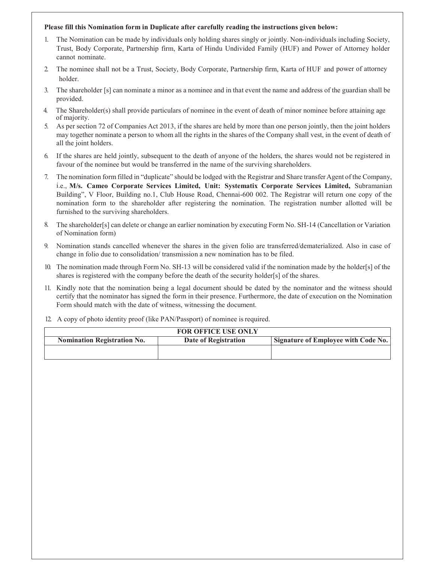### Please fill this Nomination form in Duplicate after carefully reading the instructions given below:

- 1. The Nomination can be made by individuals only holding shares singly or jointly. Non-individuals including Society, Trust, Body Corporate, Partnership firm, Karta of Hindu Undivided Family (HUF) and Power of Attorney holder cannot nominate.
- 2. The nominee shall not be a Trust, Society, Body Corporate, Partnership firm, Karta of HUF and power of attorney holder.
- 3. The shareholder [s] can nominate a minor as a nominee and in that event the name and address of the guardian shall be provided.
- 4. The Shareholder(s) shall provide particulars of nominee in the event of death of minor nominee before attaining age of majority.
- 5. As per section 72 of Companies Act 2013, if the shares are held by more than one person jointly, then the joint holders may together nominate a person to whom all the rights in the shares of the Company shall vest, in the event of death of all the joint holders.
- 6. If the shares are held jointly, subsequent to the death of anyone of the holders, the shares would not be registered in favour of the nominee but would be transferred in the name of the surviving shareholders.
- 7. The nomination form filled in "duplicate" should be lodged with the Registrar and Share transfer Agent of the Company, i.e., M/s. Cameo Corporate Services Limited, Unit: Systematix Corporate Services Limited, Subramanian Building", V Floor, Building no.1, Club House Road, Chennai-600 002. The Registrar will return one copy of the nomination form to the shareholder after registering the nomination. The registration number allotted will be furnished to the surviving shareholders.
- 8. The shareholder [s] can delete or change an earlier nomination by executing Form No. SH-14 (Cancellation or Variation of Nomination form)
- 9. Nomination stands cancelled whenever the shares in the given folio are transferred/dematerialized. Also in case of change in folio due to consolidation/ transmission a new nomination has to be filed.
- 10. The nomination made through Form No. SH-13 will be considered valid if the nomination made by the holder[s] of the shares is registered with the company before the death of the security holder[s] of the shares.
- 11. Kindly note that the nomination being a legal document should be dated by the nominator and the witness should certify that the nominator has signed the form in their presence. Furthermore, the date of execution on the Nomination Form should match with the date of witness, witnessing the document.
- 12. A copy of photo identity proof (like PAN/Passport) of nominee is required.

| <b>FOR OFFICE USE ONLY</b>         |                      |                                     |  |  |
|------------------------------------|----------------------|-------------------------------------|--|--|
| <b>Nomination Registration No.</b> | Date of Registration | Signature of Employee with Code No. |  |  |
|                                    |                      |                                     |  |  |
|                                    |                      |                                     |  |  |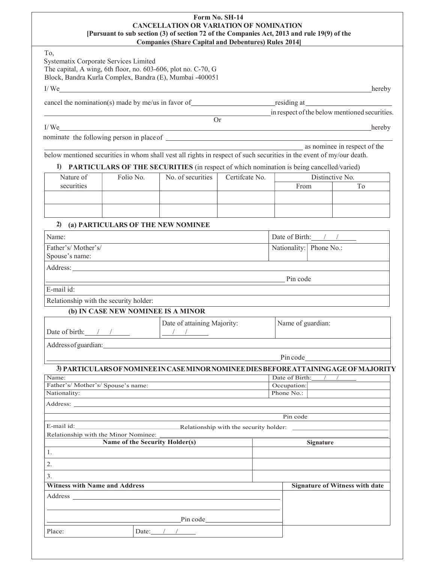### Form No. SH-14 CANCELLATION OR VARIATION OF NOMINATION [Pursuant to sub section (3) of section 72 of the Companies Act, 2013 and rule 19(9) of the Companies (Share Capital and Debentures) Rules 2014]

| ٠<br>۰, |
|---------|
|---------|

Systematix Corporate Services Limited The capital, A wing, 6th floor, no. 603-606, plot no. C-70, G Block, Bandra Kurla Complex, Bandra (E), Mumbai -400051

I/We hereby hereby a series of the series of the series of the series of the series of the series of the series of the series of the series of the series of the series of the series of the series of the series of the serie

cancel the nomination(s) made by me/us in favor of  $\qquad \qquad$  residing at

in respect of the below mentioned securities.

I/We hereby

nominate the following person in place of

**as nominee in respect of the** below mentioned securities in whom shall vest all rights in respect of such securities in the event of my/our death.

Or

## 1) PARTICULARS OF THE SECURITIES (in respect of which nomination is being cancelled/varied)

## 2) (a) PARTICULARS OF THE NEW NOMINEE

| Name:                                                                                                                                                                                                                               |                                                                                                                                                                                                                                                                                                                                                                                                                                                                                                     | Date of Birth: $\frac{1}{2}$ |                                       |
|-------------------------------------------------------------------------------------------------------------------------------------------------------------------------------------------------------------------------------------|-----------------------------------------------------------------------------------------------------------------------------------------------------------------------------------------------------------------------------------------------------------------------------------------------------------------------------------------------------------------------------------------------------------------------------------------------------------------------------------------------------|------------------------------|---------------------------------------|
| Father's/Mother's/                                                                                                                                                                                                                  |                                                                                                                                                                                                                                                                                                                                                                                                                                                                                                     | Nationality: Phone No.:      |                                       |
| Spouse's name:                                                                                                                                                                                                                      |                                                                                                                                                                                                                                                                                                                                                                                                                                                                                                     |                              |                                       |
| Address: <u>Note</u> 2008 and 2008 and 2008 and 2008 and 2008 and 2008 and 2008 and 2008 and 2008 and 2008 and 2008 and 2008 and 2008 and 2008 and 2008 and 2008 and 2008 and 2008 and 2008 and 2008 and 2008 and 2008 and 2008 and |                                                                                                                                                                                                                                                                                                                                                                                                                                                                                                     |                              |                                       |
|                                                                                                                                                                                                                                     |                                                                                                                                                                                                                                                                                                                                                                                                                                                                                                     | Pin code                     |                                       |
| $E$ -mail id:                                                                                                                                                                                                                       |                                                                                                                                                                                                                                                                                                                                                                                                                                                                                                     |                              |                                       |
| Relationship with the security holder:                                                                                                                                                                                              |                                                                                                                                                                                                                                                                                                                                                                                                                                                                                                     |                              |                                       |
| (b) IN CASE NEW NOMINEE IS A MINOR                                                                                                                                                                                                  |                                                                                                                                                                                                                                                                                                                                                                                                                                                                                                     |                              |                                       |
| Date of birth: $\frac{1}{\sqrt{1-\frac{1}{2}}}$                                                                                                                                                                                     | Date of attaining Majority:<br>$\begin{tabular}{c c c c} A & A & B \\ \hline \hline \multicolumn{3}{c }{\textbf{1}} & \multicolumn{3}{c }{\textbf{1}} \\ \hline \multicolumn{3}{c }{\textbf{1}} & \multicolumn{3}{c }{\textbf{1}} \\ \hline \multicolumn{3}{c }{\textbf{1}} & \multicolumn{3}{c }{\textbf{1}} \\ \hline \multicolumn{3}{c }{\textbf{1}} & \multicolumn{3}{c }{\textbf{1}} \\ \hline \multicolumn{3}{c }{\textbf{1}} & \multicolumn{3}{c }{\textbf{1}} \\ \hline \multicolumn{3}{c $ | Name of guardian:            |                                       |
| Address of guardian: the contract of guardian contract of guardian contract of guardian contract of guardian contract of guardian contract of guardian contract of guardian contract of guardian contract of guardian contract      |                                                                                                                                                                                                                                                                                                                                                                                                                                                                                                     |                              |                                       |
|                                                                                                                                                                                                                                     |                                                                                                                                                                                                                                                                                                                                                                                                                                                                                                     | Pincode                      |                                       |
| 3) PARTICULARS OF NOMINEE IN CASE MINOR NOMINEE DIES BEFORE ATTAINING AGE OF MAJORITY                                                                                                                                               |                                                                                                                                                                                                                                                                                                                                                                                                                                                                                                     |                              |                                       |
| Name:                                                                                                                                                                                                                               |                                                                                                                                                                                                                                                                                                                                                                                                                                                                                                     | Date of Birth:               |                                       |
| Father's/Mother's/Spouse's name:                                                                                                                                                                                                    |                                                                                                                                                                                                                                                                                                                                                                                                                                                                                                     | Occupation:                  |                                       |
| Nationality:                                                                                                                                                                                                                        |                                                                                                                                                                                                                                                                                                                                                                                                                                                                                                     | Phone No.:                   |                                       |
| Address:                                                                                                                                                                                                                            |                                                                                                                                                                                                                                                                                                                                                                                                                                                                                                     |                              |                                       |
|                                                                                                                                                                                                                                     |                                                                                                                                                                                                                                                                                                                                                                                                                                                                                                     | Pin code                     |                                       |
| E-mail id:                                                                                                                                                                                                                          | Relationship with the security holder:                                                                                                                                                                                                                                                                                                                                                                                                                                                              |                              |                                       |
| Relationship with the Minor Nominee:                                                                                                                                                                                                |                                                                                                                                                                                                                                                                                                                                                                                                                                                                                                     |                              |                                       |
| Name of the Security Holder(s)                                                                                                                                                                                                      |                                                                                                                                                                                                                                                                                                                                                                                                                                                                                                     |                              | Signature                             |
| 1.                                                                                                                                                                                                                                  |                                                                                                                                                                                                                                                                                                                                                                                                                                                                                                     |                              |                                       |
| 2.                                                                                                                                                                                                                                  |                                                                                                                                                                                                                                                                                                                                                                                                                                                                                                     |                              |                                       |
| 3.                                                                                                                                                                                                                                  |                                                                                                                                                                                                                                                                                                                                                                                                                                                                                                     |                              |                                       |
| <b>Witness with Name and Address</b>                                                                                                                                                                                                |                                                                                                                                                                                                                                                                                                                                                                                                                                                                                                     |                              | <b>Signature of Witness with date</b> |
| Address and the contract of the contract of the contract of the contract of the contract of the contract of the contract of the contract of the contract of the contract of the contract of the contract of the contract of th      |                                                                                                                                                                                                                                                                                                                                                                                                                                                                                                     |                              |                                       |
|                                                                                                                                                                                                                                     |                                                                                                                                                                                                                                                                                                                                                                                                                                                                                                     |                              |                                       |
|                                                                                                                                                                                                                                     | $P$ in code                                                                                                                                                                                                                                                                                                                                                                                                                                                                                         |                              |                                       |
| Date: $\frac{1}{\sqrt{1-\frac{1}{2}}}$<br>Place:                                                                                                                                                                                    |                                                                                                                                                                                                                                                                                                                                                                                                                                                                                                     |                              |                                       |
|                                                                                                                                                                                                                                     |                                                                                                                                                                                                                                                                                                                                                                                                                                                                                                     |                              |                                       |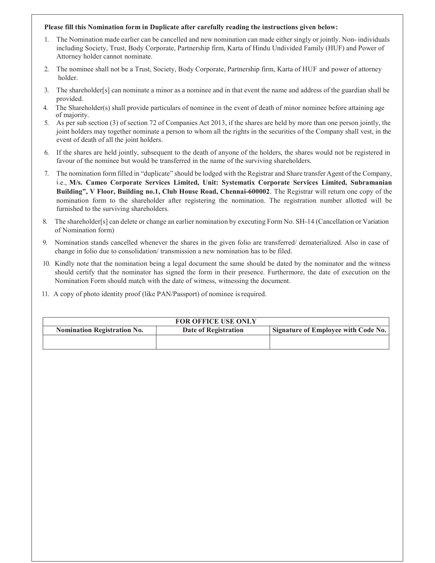### Please fill this Nomination form in Duplicate after carefully reading the instructions given below:

- 1. The Nomination made earlier can be cancelled and new nomination can made either singly or jointly. Non- individuals including Society, Trust, Body Corporate, Partnership firm, Karta of Hindu Undivided Family (HUF) and Power of Attorney holder cannot nominate.
- 2. The nominee shall not be a Trust, Society, Body Corporate, Partnership firm, Karta of HUF and power of attorney holder.
- 3. The shareholder[s] can nominate a minor as a nominee and in that event the name and address of the guardian shall be provided.
- 4. The Shareholder(s) shall provide particulars of nominee in the event of death of minor nominee before attaining age of majority.
- 5. As per sub section (3) of section 72 of Companies Act 2013, if the shares are held by more than one person jointly, the joint holders may together nominate a person to whom all the rights in the securities of the Company shall vest, in the event of death of all the joint holders.
- 6. If the shares are held jointly, subsequent to the death of anyone of the holders, the shares would not be registered in favour of the nominee but would be transferred in the name of the surviving shareholders.
- 7. The nomination form filled in "duplicate" should be lodged with the Registrar and Share transfer Agent of the Company, i.e., M/s. Cameo Corporate Services Limited, Unit: Systematix Corporate Services Limited, Subramanian Building", V Floor, Building no.1, Club House Road, Chennai-600002. The Registrar will return one copy of the nomination form to the shareholder after registering the nomination. The registration number allotted will be furnished to the surviving shareholders.
- 8. The shareholder[s] can delete or change an earlier nomination by executing Form No. SH-14 (Cancellation or Variation of Nomination form)
- 9. Nomination stands cancelled whenever the shares in the given folio are transferred/ dematerialized. Also in case of change in folio due to consolidation/ transmission a new nomination has to be filed.
- 10. Kindly note that the nomination being a legal document the same should be dated by the nominator and the witness should certify that the nominator has signed the form in their presence. Furthermore, the date of execution on the Nomination Form should match with the date of witness, witnessing the document.
- 11. A copy of photo identity proof (like PAN/Passport) of nominee is required.

| <b>FOR OFFICE USE ONLY</b>         |                      |                                            |  |  |
|------------------------------------|----------------------|--------------------------------------------|--|--|
| <b>Nomination Registration No.</b> | Date of Registration | <b>Signature of Employee with Code No.</b> |  |  |
|                                    |                      |                                            |  |  |
|                                    |                      |                                            |  |  |